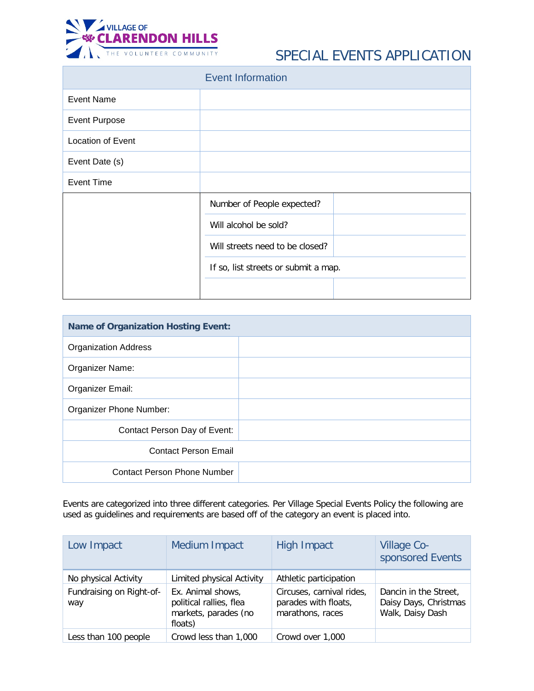

## SPECIAL EVENTS APPLICATION

|                          | <b>Event Information</b>             |  |  |  |  |  |
|--------------------------|--------------------------------------|--|--|--|--|--|
| <b>Event Name</b>        |                                      |  |  |  |  |  |
| <b>Event Purpose</b>     |                                      |  |  |  |  |  |
| <b>Location of Event</b> |                                      |  |  |  |  |  |
| Event Date (s)           |                                      |  |  |  |  |  |
| <b>Event Time</b>        |                                      |  |  |  |  |  |
|                          | Number of People expected?           |  |  |  |  |  |
|                          | Will alcohol be sold?                |  |  |  |  |  |
|                          | Will streets need to be closed?      |  |  |  |  |  |
|                          | If so, list streets or submit a map. |  |  |  |  |  |
|                          |                                      |  |  |  |  |  |

| <b>Name of Organization Hosting Event:</b> |  |
|--------------------------------------------|--|
| <b>Organization Address</b>                |  |
| Organizer Name:                            |  |
| Organizer Email:                           |  |
| Organizer Phone Number:                    |  |
| Contact Person Day of Event:               |  |
| <b>Contact Person Email</b>                |  |
| <b>Contact Person Phone Number</b>         |  |

Events are categorized into three different categories. Per Village Special Events Policy the following are used as guidelines and requirements are based off of the category an event is placed into.

| Low Impact                      | Medium Impact                                                                   | <b>High Impact</b>                                                    | Village Co-<br>sponsored Events                                    |
|---------------------------------|---------------------------------------------------------------------------------|-----------------------------------------------------------------------|--------------------------------------------------------------------|
| No physical Activity            | Limited physical Activity                                                       | Athletic participation                                                |                                                                    |
| Fundraising on Right-of-<br>way | Ex. Animal shows,<br>political rallies, flea<br>markets, parades (no<br>floats) | Circuses, carnival rides,<br>parades with floats,<br>marathons, races | Dancin in the Street,<br>Daisy Days, Christmas<br>Walk, Daisy Dash |
| Less than 100 people            | Crowd less than 1,000                                                           | Crowd over 1,000                                                      |                                                                    |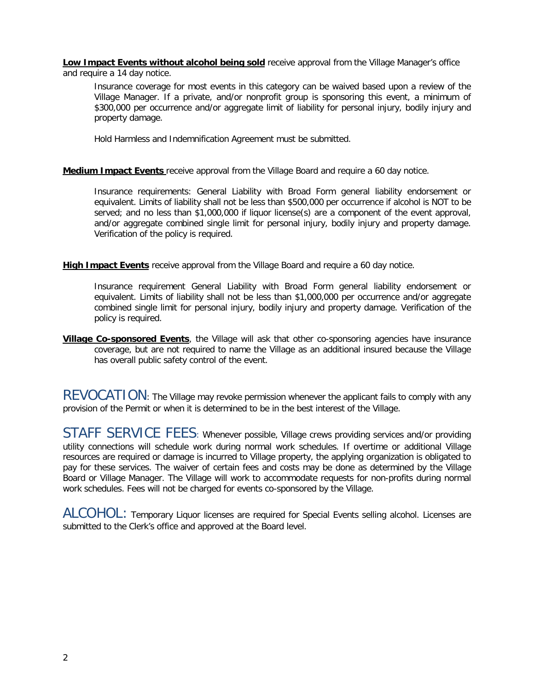**Low Impact Events without alcohol being sold** receive approval from the Village Manager's office and require a 14 day notice.

Insurance coverage for most events in this category can be waived based upon a review of the Village Manager. If a private, and/or nonprofit group is sponsoring this event, a minimum of \$300,000 per occurrence and/or aggregate limit of liability for personal injury, bodily injury and property damage.

Hold Harmless and Indemnification Agreement must be submitted.

## **Medium Impact Events** receive approval from the Village Board and require a 60 day notice.

Insurance requirements: General Liability with Broad Form general liability endorsement or equivalent. Limits of liability shall not be less than \$500,000 per occurrence if alcohol is NOT to be served; and no less than \$1,000,000 if liquor license(s) are a component of the event approval, and/or aggregate combined single limit for personal injury, bodily injury and property damage. Verification of the policy is required.

**High Impact Events** receive approval from the Village Board and require a 60 day notice.

Insurance requirement General Liability with Broad Form general liability endorsement or equivalent. Limits of liability shall not be less than \$1,000,000 per occurrence and/or aggregate combined single limit for personal injury, bodily injury and property damage. Verification of the policy is required.

**Village Co-sponsored Events**, the Village will ask that other co-sponsoring agencies have insurance coverage, but are not required to name the Village as an additional insured because the Village has overall public safety control of the event.

REVOCATION: The Village may revoke permission whenever the applicant fails to comply with any provision of the Permit or when it is determined to be in the best interest of the Village.

STAFF SERVICE FEES: Whenever possible, Village crews providing services and/or providing utility connections will schedule work during normal work schedules. If overtime or additional Village resources are required or damage is incurred to Village property, the applying organization is obligated to pay for these services. The waiver of certain fees and costs may be done as determined by the Village Board or Village Manager. The Village will work to accommodate requests for non-profits during normal work schedules. Fees will not be charged for events co-sponsored by the Village.

ALCOHOL: Temporary Liquor licenses are required for Special Events selling alcohol. Licenses are submitted to the Clerk's office and approved at the Board level.